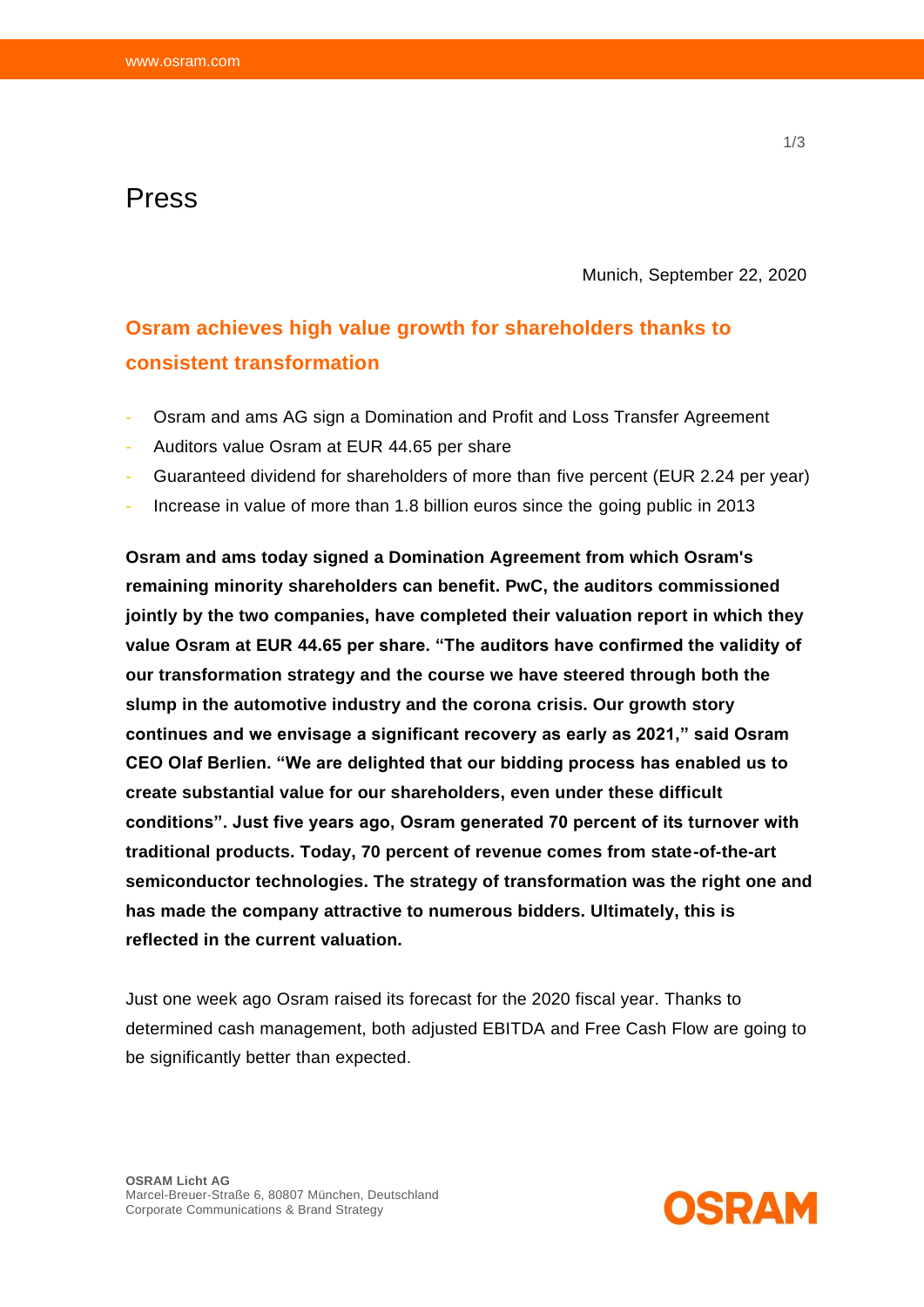## Press

Munich, September 22, 2020

# **Osram achieves high value growth for shareholders thanks to consistent transformation**

- Osram and ams AG sign a Domination and Profit and Loss Transfer Agreement
- Auditors value Osram at EUR 44.65 per share
- Guaranteed dividend for shareholders of more than five percent (EUR 2.24 per year)
- Increase in value of more than 1.8 billion euros since the going public in 2013

**Osram and ams today signed a Domination Agreement from which Osram's remaining minority shareholders can benefit. PwC, the auditors commissioned jointly by the two companies, have completed their valuation report in which they value Osram at EUR 44.65 per share. "The auditors have confirmed the validity of our transformation strategy and the course we have steered through both the slump in the automotive industry and the corona crisis. Our growth story continues and we envisage a significant recovery as early as 2021," said Osram CEO Olaf Berlien. "We are delighted that our bidding process has enabled us to create substantial value for our shareholders, even under these difficult conditions". Just five years ago, Osram generated 70 percent of its turnover with traditional products. Today, 70 percent of revenue comes from state-of-the-art semiconductor technologies. The strategy of transformation was the right one and has made the company attractive to numerous bidders. Ultimately, this is reflected in the current valuation.**

Just one week ago Osram raised its forecast for the 2020 fiscal year. Thanks to determined cash management, both adjusted EBITDA and Free Cash Flow are going to be significantly better than expected.

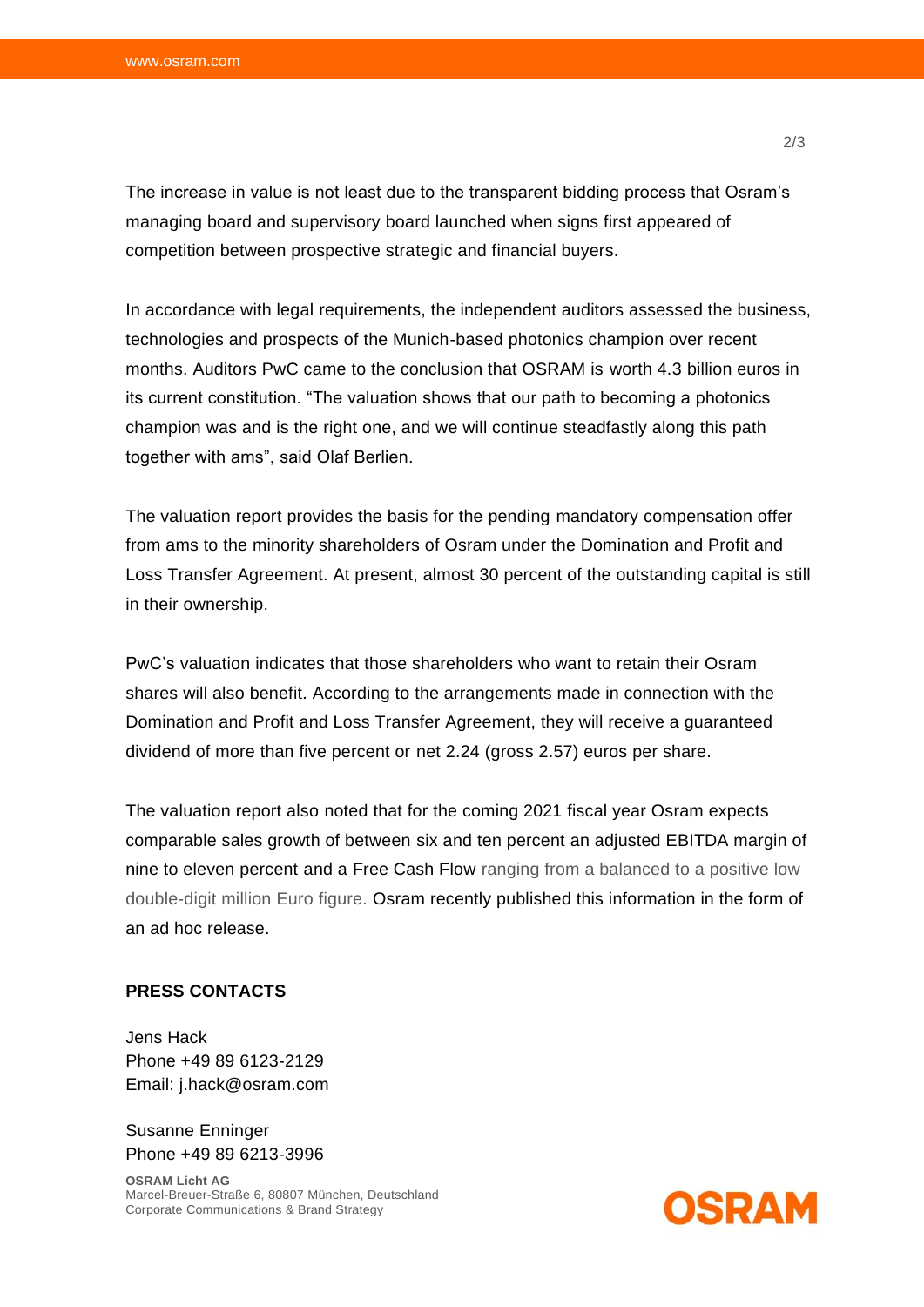The increase in value is not least due to the transparent bidding process that Osram's managing board and supervisory board launched when signs first appeared of competition between prospective strategic and financial buyers.

In accordance with legal requirements, the independent auditors assessed the business, technologies and prospects of the Munich-based photonics champion over recent months. Auditors PwC came to the conclusion that OSRAM is worth 4.3 billion euros in its current constitution. "The valuation shows that our path to becoming a photonics champion was and is the right one, and we will continue steadfastly along this path together with ams", said Olaf Berlien.

The valuation report provides the basis for the pending mandatory compensation offer from ams to the minority shareholders of Osram under the Domination and Profit and Loss Transfer Agreement. At present, almost 30 percent of the outstanding capital is still in their ownership.

PwC's valuation indicates that those shareholders who want to retain their Osram shares will also benefit. According to the arrangements made in connection with the Domination and Profit and Loss Transfer Agreement, they will receive a guaranteed dividend of more than five percent or net 2.24 (gross 2.57) euros per share.

The valuation report also noted that for the coming 2021 fiscal year Osram expects comparable sales growth of between six and ten percent an adjusted EBITDA margin of nine to eleven percent and a Free Cash Flow ranging from a balanced to a positive low double-digit million Euro figure. Osram recently published this information in the form of an ad hoc release.

### **PRESS CONTACTS**

Jens Hack Phone +49 89 6123-2129 Email: j.hack@osram.com

Susanne Enninger Phone +49 89 6213-3996

**OSRAM Licht AG** Marcel-Breuer-Straße 6, 80807 München, Deutschland Corporate Communications & Brand Strategy